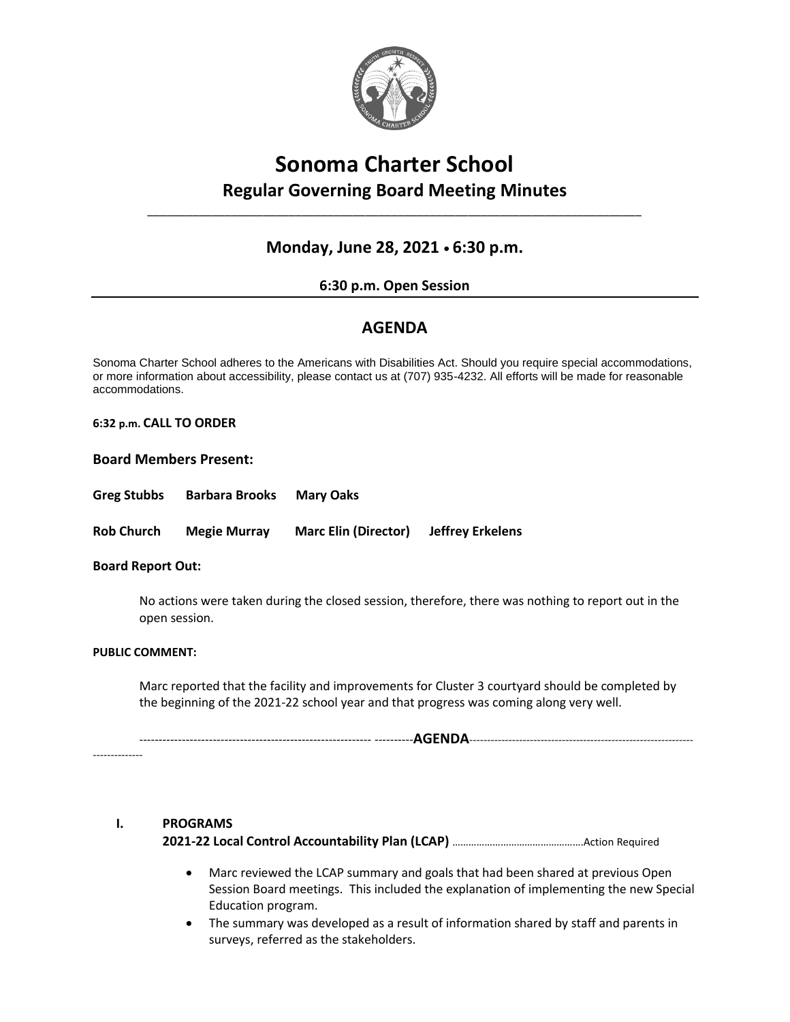

## **Sonoma Charter School Regular Governing Board Meeting Minutes**

\_\_\_\_\_\_\_\_\_\_\_\_\_\_\_\_\_\_\_\_\_\_\_\_\_\_\_\_\_\_\_\_\_\_\_\_\_\_\_\_\_\_\_\_\_\_\_\_\_\_\_\_\_\_\_\_\_\_\_\_\_\_\_\_\_\_\_\_\_\_\_\_\_\_\_\_\_

## **Monday, June 28, 2021 • 6:30 p.m.**

#### **6:30 p.m. Open Session**

### **AGENDA**

Sonoma Charter School adheres to the Americans with Disabilities Act. Should you require special accommodations, or more information about accessibility, please contact us at (707) 935-4232. All efforts will be made for reasonable accommodations.

**6:32 p.m. CALL TO ORDER** 

#### **Board Members Present:**

**Greg Stubbs Barbara Brooks Mary Oaks**

**Rob Church Megie Murray Marc Elin (Director) Jeffrey Erkelens**

#### **Board Report Out:**

No actions were taken during the closed session, therefore, there was nothing to report out in the open session.

#### **PUBLIC COMMENT:**

--------------

Marc reported that the facility and improvements for Cluster 3 courtyard should be completed by the beginning of the 2021-22 school year and that progress was coming along very well.

------------------------------------------------------------ ----------**AGENDA**---------------------------------------------------------------

# **I. PROGRAMS**

**2021-22 Local Control Accountability Plan (LCAP)** ………………………………………….Action Required

- Marc reviewed the LCAP summary and goals that had been shared at previous Open Session Board meetings. This included the explanation of implementing the new Special Education program.
- The summary was developed as a result of information shared by staff and parents in surveys, referred as the stakeholders.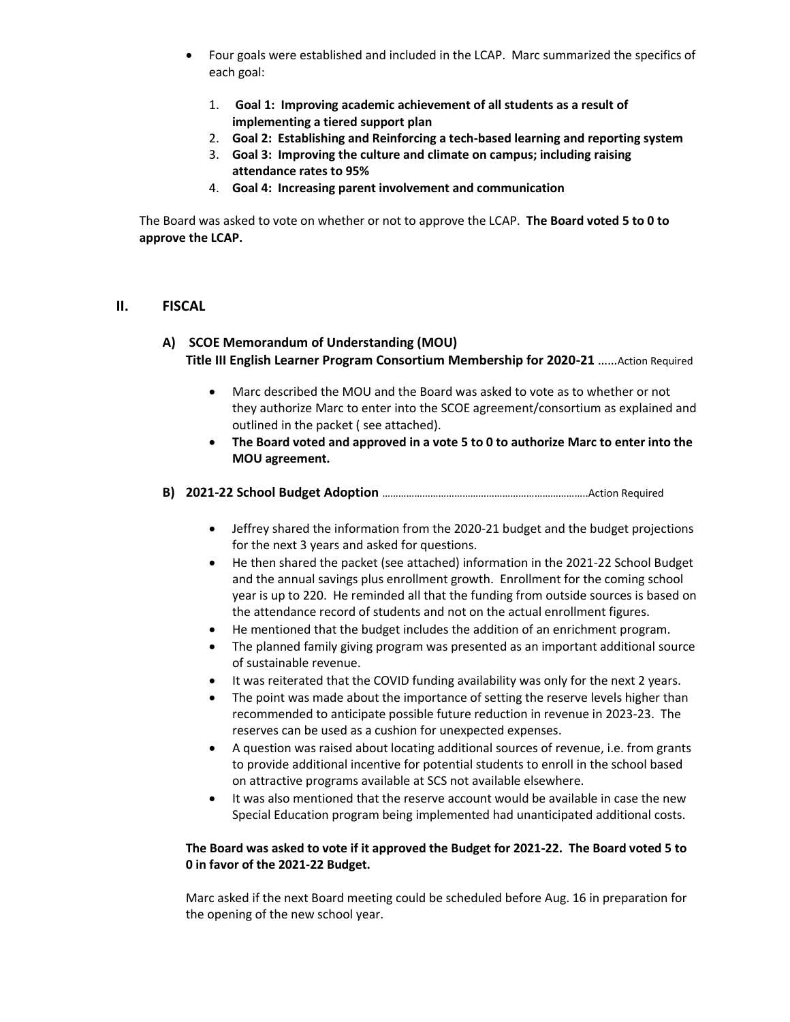- Four goals were established and included in the LCAP. Marc summarized the specifics of each goal:
	- 1. **Goal 1: Improving academic achievement of all students as a result of implementing a tiered support plan**
	- 2. **Goal 2: Establishing and Reinforcing a tech-based learning and reporting system**
	- 3. **Goal 3: Improving the culture and climate on campus; including raising attendance rates to 95%**
	- 4. **Goal 4: Increasing parent involvement and communication**

The Board was asked to vote on whether or not to approve the LCAP. **The Board voted 5 to 0 to approve the LCAP.**

#### **II. FISCAL**

#### **A) SCOE Memorandum of Understanding (MOU) Title III English Learner Program Consortium Membership for 2020-21** ……Action Required

- Marc described the MOU and the Board was asked to vote as to whether or not they authorize Marc to enter into the SCOE agreement/consortium as explained and outlined in the packet ( see attached).
- **The Board voted and approved in a vote 5 to 0 to authorize Marc to enter into the MOU agreement.**
- **B) 2021-22 School Budget Adoption** …………………………………………………………………..Action Required
	- Jeffrey shared the information from the 2020-21 budget and the budget projections for the next 3 years and asked for questions.
	- He then shared the packet (see attached) information in the 2021-22 School Budget and the annual savings plus enrollment growth. Enrollment for the coming school year is up to 220. He reminded all that the funding from outside sources is based on the attendance record of students and not on the actual enrollment figures.
	- He mentioned that the budget includes the addition of an enrichment program.
	- The planned family giving program was presented as an important additional source of sustainable revenue.
	- It was reiterated that the COVID funding availability was only for the next 2 years.
	- The point was made about the importance of setting the reserve levels higher than recommended to anticipate possible future reduction in revenue in 2023-23. The reserves can be used as a cushion for unexpected expenses.
	- A question was raised about locating additional sources of revenue, i.e. from grants to provide additional incentive for potential students to enroll in the school based on attractive programs available at SCS not available elsewhere.
	- It was also mentioned that the reserve account would be available in case the new Special Education program being implemented had unanticipated additional costs.

#### **The Board was asked to vote if it approved the Budget for 2021-22. The Board voted 5 to 0 in favor of the 2021-22 Budget.**

Marc asked if the next Board meeting could be scheduled before Aug. 16 in preparation for the opening of the new school year.